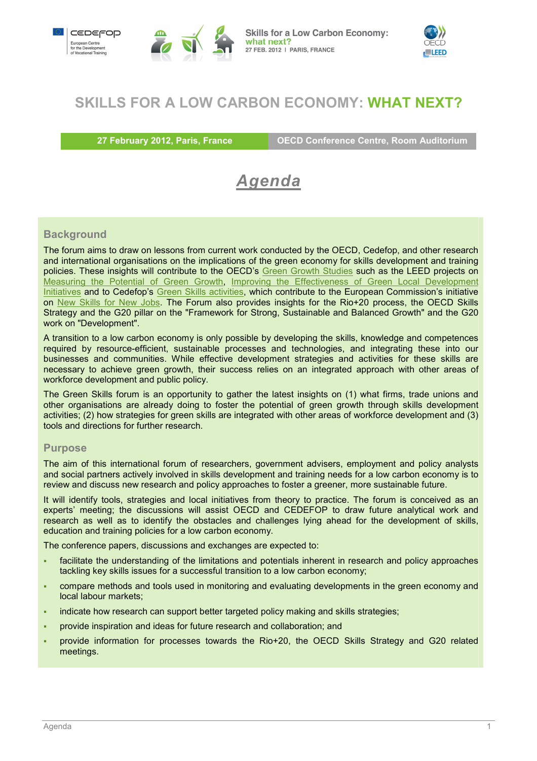



## **SKILLS FOR A LOW CARBON ECONOMY: WHAT NEXT?**

**27 February 2012, Paris, France CECD Conference Centre, Room Auditorium** 

# *Agenda*

### **Background**

The forum aims to draw on lessons from current work conducted by the OECD, Cedefop, and other research and international organisations on the implications of the green economy for skills development and training policies. These insights will contribute to the OECD's Green Growth Studies such as the LEED projects on Measuring the Potential of Green Growth, Improving the Effectiveness of Green Local Development Initiatives and to Cedefop's Green Skills activities, which contribute to the European Commission's initiative on New Skills for New Jobs. The Forum also provides insights for the Rio+20 process, the OECD Skills Strategy and the G20 pillar on the "Framework for Strong, Sustainable and Balanced Growth" and the G20 work on "Development".

A transition to a low carbon economy is only possible by developing the skills, knowledge and competences required by resource-efficient, sustainable processes and technologies, and integrating these into our businesses and communities. While effective development strategies and activities for these skills are necessary to achieve green growth, their success relies on an integrated approach with other areas of workforce development and public policy.

The Green Skills forum is an opportunity to gather the latest insights on (1) what firms, trade unions and other organisations are already doing to foster the potential of green growth through skills development activities; (2) how strategies for green skills are integrated with other areas of workforce development and (3) tools and directions for further research.

#### **Purpose**

The aim of this international forum of researchers, government advisers, employment and policy analysts and social partners actively involved in skills development and training needs for a low carbon economy is to review and discuss new research and policy approaches to foster a greener, more sustainable future.

It will identify tools, strategies and local initiatives from theory to practice. The forum is conceived as an experts' meeting; the discussions will assist OECD and CEDEFOP to draw future analytical work and research as well as to identify the obstacles and challenges lying ahead for the development of skills, education and training policies for a low carbon economy.

The conference papers, discussions and exchanges are expected to:

- facilitate the understanding of the limitations and potentials inherent in research and policy approaches tackling key skills issues for a successful transition to a low carbon economy;
- compare methods and tools used in monitoring and evaluating developments in the green economy and local labour markets;
- indicate how research can support better targeted policy making and skills strategies;
- provide inspiration and ideas for future research and collaboration; and
- provide information for processes towards the Rio+20, the OECD Skills Strategy and G20 related meetings.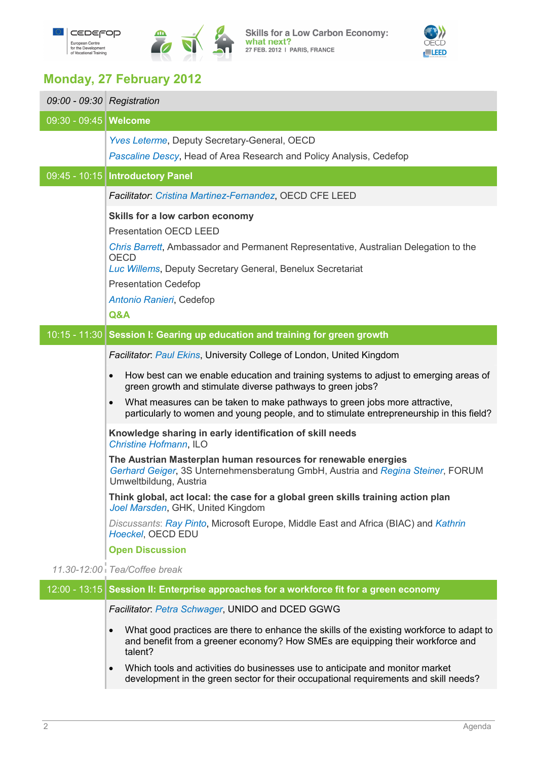

Skills for a Low Carbon Economy:<br>what next?<br>27 FEB. 2012 | PARIS, FRANCE



# **Monday, 27 February 2012**

| 09:00 - 09:30 Registration |                                                                                                                                                                                                                                                                                                         |
|----------------------------|---------------------------------------------------------------------------------------------------------------------------------------------------------------------------------------------------------------------------------------------------------------------------------------------------------|
| 09:30 - 09:45   Welcome    |                                                                                                                                                                                                                                                                                                         |
|                            | <b>Yves Leterme, Deputy Secretary-General, OECD</b><br>Pascaline Descy, Head of Area Research and Policy Analysis, Cedefop                                                                                                                                                                              |
|                            | 09:45 - 10:15   Introductory Panel                                                                                                                                                                                                                                                                      |
|                            | Facilitator: Cristina Martinez-Fernandez, OECD CFE LEED                                                                                                                                                                                                                                                 |
|                            | Skills for a low carbon economy<br><b>Presentation OECD LEED</b><br>Chris Barrett, Ambassador and Permanent Representative, Australian Delegation to the<br><b>OECD</b><br>Luc Willems, Deputy Secretary General, Benelux Secretariat<br><b>Presentation Cedefop</b><br>Antonio Ranieri, Cedefop<br>Q&A |
|                            | 10:15 - 11:30 Session I: Gearing up education and training for green growth                                                                                                                                                                                                                             |
|                            | Facilitator: Paul Ekins, University College of London, United Kingdom                                                                                                                                                                                                                                   |
|                            | How best can we enable education and training systems to adjust to emerging areas of<br>$\bullet$<br>green growth and stimulate diverse pathways to green jobs?                                                                                                                                         |
|                            | What measures can be taken to make pathways to green jobs more attractive,<br>$\bullet$<br>particularly to women and young people, and to stimulate entrepreneurship in this field?                                                                                                                     |
|                            | Knowledge sharing in early identification of skill needs<br><b>Christine Hofmann, ILO</b>                                                                                                                                                                                                               |
|                            | The Austrian Masterplan human resources for renewable energies<br>Gerhard Geiger, 3S Unternehmensberatung GmbH, Austria and Regina Steiner, FORUM<br>Umweltbildung, Austria                                                                                                                             |
|                            | Think global, act local: the case for a global green skills training action plan<br>Joel Marsden, GHK, United Kingdom                                                                                                                                                                                   |
|                            | Discussants: Ray Pinto, Microsoft Europe, Middle East and Africa (BIAC) and Kathrin<br>Hoeckel, OECD EDU                                                                                                                                                                                                |
|                            | <b>Open Discussion</b>                                                                                                                                                                                                                                                                                  |
|                            | 11.30-12.00 Tea/Coffee break                                                                                                                                                                                                                                                                            |
|                            | 12:00 - 13:15 Session II: Enterprise approaches for a workforce fit for a green economy                                                                                                                                                                                                                 |
|                            | Facilitator: Petra Schwager, UNIDO and DCED GGWG                                                                                                                                                                                                                                                        |
|                            | What good practices are there to enhance the skills of the existing workforce to adapt to<br>$\bullet$<br>and benefit from a greener economy? How SMEs are equipping their workforce and<br>talent?                                                                                                     |
|                            | Which tools and activities do businesses use to anticipate and monitor market<br>$\bullet$<br>development in the green sector for their occupational requirements and skill needs?                                                                                                                      |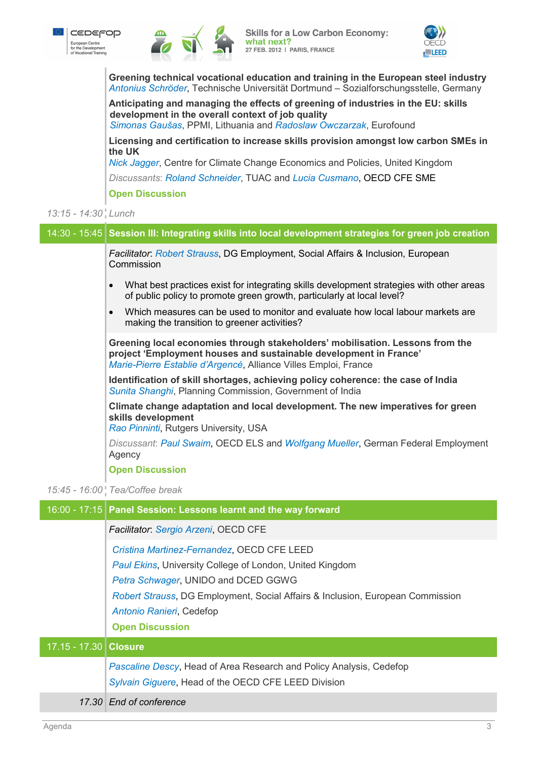



**Skills for a Low Carbon Economy:** what next? 27 FEB. 2012 | PARIS, FRANCE



**Greening technical vocational education and training in the European steel industry**  *Antonius Schröder*, Technische Universität Dortmund – Sozialforschungsstelle, Germany

**Anticipating and managing the effects of greening of industries in the EU: skills development in the overall context of job quality** 

*Simonas Gaušas*, PPMI, Lithuania and *Radoslaw Owczarzak*, Eurofound

**Licensing and certification to increase skills provision amongst low carbon SMEs in the UK** 

*Nick Jagger*, Centre for Climate Change Economics and Policies, United Kingdom

*Discussants*: *Roland Schneider*, TUAC and *Lucia Cusmano*, OECD CFE SME

**Open Discussion**

## *13:15 - 14:30 Lunch*

| 14:30 - 15:45 Session III: Integrating skills into local development strategies for green job creation                                                                                                                |
|-----------------------------------------------------------------------------------------------------------------------------------------------------------------------------------------------------------------------|
| Facilitator: Robert Strauss, DG Employment, Social Affairs & Inclusion, European<br>Commission                                                                                                                        |
| What best practices exist for integrating skills development strategies with other areas<br>$\bullet$<br>of public policy to promote green growth, particularly at local level?                                       |
| Which measures can be used to monitor and evaluate how local labour markets are<br>$\bullet$<br>making the transition to greener activities?                                                                          |
| Greening local economies through stakeholders' mobilisation. Lessons from the<br>project 'Employment houses and sustainable development in France'<br>Marie-Pierre Establie d'Argencé, Alliance Villes Emploi, France |
| Identification of skill shortages, achieving policy coherence: the case of India<br>Sunita Shanghi, Planning Commission, Government of India                                                                          |
| Climate change adaptation and local development. The new imperatives for green<br>skills development<br>Rao Pinninti, Rutgers University, USA                                                                         |
| Discussant: Paul Swaim, OECD ELS and Wolfgang Mueller, German Federal Employment<br>Agency                                                                                                                            |
| <b>Open Discussion</b>                                                                                                                                                                                                |
| 15:45 - 16:00   Tea/Coffee break                                                                                                                                                                                      |
| 16:00 - 17:15 Panel Session: Lessons learnt and the way forward                                                                                                                                                       |
| Facilitator: Sergio Arzeni, OECD CFE                                                                                                                                                                                  |
|                                                                                                                                                                                                                       |

| Facilitator: Sergio Arzeni, OECD CFE                                                                                                                                                                                                                                                  |
|---------------------------------------------------------------------------------------------------------------------------------------------------------------------------------------------------------------------------------------------------------------------------------------|
|                                                                                                                                                                                                                                                                                       |
| Cristina Martinez-Fernandez, OECD CFE LEED<br>Paul Ekins, University College of London, United Kingdom<br>Petra Schwager, UNIDO and DCED GGWG<br>Robert Strauss, DG Employment, Social Affairs & Inclusion, European Commission<br>Antonio Ranieri, Cedefop<br><b>Open Discussion</b> |
| 17.15 - 17.30 Closure                                                                                                                                                                                                                                                                 |
| <b>Pascaline Descy, Head of Area Research and Policy Analysis, Cedefop</b><br>Sylvain Giguere, Head of the OECD CFE LEED Division                                                                                                                                                     |
| 17.30 End of conference                                                                                                                                                                                                                                                               |